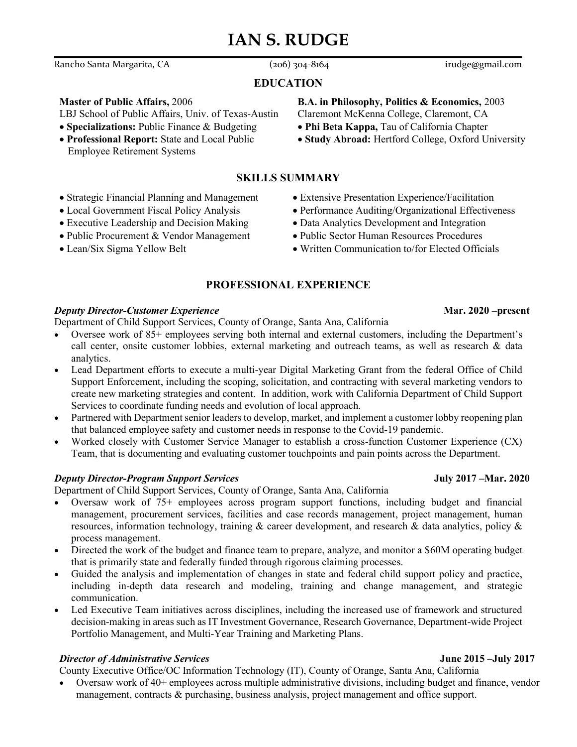# **IAN S. RUDGE**

Rancho Santa Margarita, CA (206) 304-8164 irudge@gmail.com

### **EDUCATION**

### **Master of Public Affairs,** 2006

LBJ School of Public Affairs, Univ. of Texas-Austin

- **Specializations:** Public Finance & Budgeting
- **Professional Report:** State and Local Public Employee Retirement Systems

## **SKILLS SUMMARY**

- Strategic Financial Planning and Management
- Local Government Fiscal Policy Analysis
- Executive Leadership and Decision Making
- Public Procurement & Vendor Management
- 
- Extensive Presentation Experience/Facilitation
- Performance Auditing/Organizational Effectiveness
- Data Analytics Development and Integration
- Public Sector Human Resources Procedures
- Lean/Six Sigma Yellow Belt Written Communication to/for Elected Officials

## **PROFESSIONAL EXPERIENCE**

### *Deputy Director-Customer Experience* **Mar. 2020 –present**

Department of Child Support Services, County of Orange, Santa Ana, California

- Oversee work of 85+ employees serving both internal and external customers, including the Department's call center, onsite customer lobbies, external marketing and outreach teams, as well as research & data analytics.
- Lead Department efforts to execute a multi-year Digital Marketing Grant from the federal Office of Child Support Enforcement, including the scoping, solicitation, and contracting with several marketing vendors to create new marketing strategies and content. In addition, work with California Department of Child Support Services to coordinate funding needs and evolution of local approach.
- Partnered with Department senior leaders to develop, market, and implement a customer lobby reopening plan that balanced employee safety and customer needs in response to the Covid-19 pandemic.
- Worked closely with Customer Service Manager to establish a cross-function Customer Experience (CX) Team, that is documenting and evaluating customer touchpoints and pain points across the Department.

### *Deputy Director-Program Support Services* **July 2017 –Mar. 2020**

Department of Child Support Services, County of Orange, Santa Ana, California

- Oversaw work of 75+ employees across program support functions, including budget and financial management, procurement services, facilities and case records management, project management, human resources, information technology, training & career development, and research & data analytics, policy & process management.
- Directed the work of the budget and finance team to prepare, analyze, and monitor a \$60M operating budget that is primarily state and federally funded through rigorous claiming processes.
- Guided the analysis and implementation of changes in state and federal child support policy and practice, including in-depth data research and modeling, training and change management, and strategic communication.
- Led Executive Team initiatives across disciplines, including the increased use of framework and structured decision-making in areas such as IT Investment Governance, Research Governance, Department-wide Project Portfolio Management, and Multi-Year Training and Marketing Plans.

### *Director of Administrative Services* **June 2015 –July 2017**

County Executive Office/OC Information Technology (IT), County of Orange, Santa Ana, California

• Oversaw work of 40+ employees across multiple administrative divisions, including budget and finance, vendor management, contracts & purchasing, business analysis, project management and office support.

# **B.A. in Philosophy, Politics & Economics,** 2003

- Claremont McKenna College, Claremont, CA
- **Phi Beta Kappa,** Tau of California Chapter
- **Study Abroad:** Hertford College, Oxford University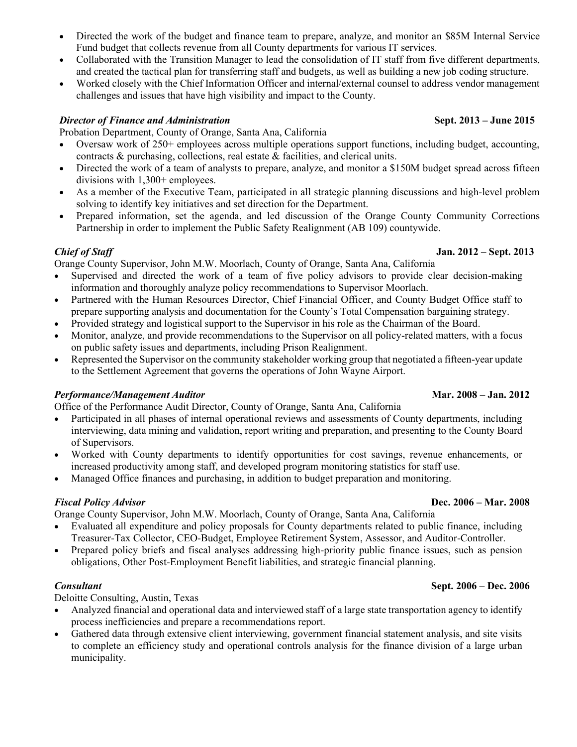- Directed the work of the budget and finance team to prepare, analyze, and monitor an \$85M Internal Service Fund budget that collects revenue from all County departments for various IT services.
- Collaborated with the Transition Manager to lead the consolidation of IT staff from five different departments, and created the tactical plan for transferring staff and budgets, as well as building a new job coding structure.
- Worked closely with the Chief Information Officer and internal/external counsel to address vendor management challenges and issues that have high visibility and impact to the County.

### *Director of Finance and Administration* **Sept. 2013 – June 2015**

Probation Department, County of Orange, Santa Ana, California

- Oversaw work of 250+ employees across multiple operations support functions, including budget, accounting, contracts & purchasing, collections, real estate & facilities, and clerical units.
- Directed the work of a team of analysts to prepare, analyze, and monitor a \$150M budget spread across fifteen divisions with 1,300+ employees.
- As a member of the Executive Team, participated in all strategic planning discussions and high-level problem solving to identify key initiatives and set direction for the Department.
- Prepared information, set the agenda, and led discussion of the Orange County Community Corrections Partnership in order to implement the Public Safety Realignment (AB 109) countywide.

### *Chief of Staff* **Jan. 2012 – Sept. 2013**

Orange County Supervisor, John M.W. Moorlach, County of Orange, Santa Ana, California

- Supervised and directed the work of a team of five policy advisors to provide clear decision-making information and thoroughly analyze policy recommendations to Supervisor Moorlach.
- Partnered with the Human Resources Director, Chief Financial Officer, and County Budget Office staff to prepare supporting analysis and documentation for the County's Total Compensation bargaining strategy.
- Provided strategy and logistical support to the Supervisor in his role as the Chairman of the Board.
- Monitor, analyze, and provide recommendations to the Supervisor on all policy-related matters, with a focus on public safety issues and departments, including Prison Realignment.
- Represented the Supervisor on the community stakeholder working group that negotiated a fifteen-year update to the Settlement Agreement that governs the operations of John Wayne Airport.

### *Performance/Management Auditor* **Mar. 2008 – Jan. 2012**

Office of the Performance Audit Director, County of Orange, Santa Ana, California

- Participated in all phases of internal operational reviews and assessments of County departments, including interviewing, data mining and validation, report writing and preparation, and presenting to the County Board of Supervisors.
- Worked with County departments to identify opportunities for cost savings, revenue enhancements, or increased productivity among staff, and developed program monitoring statistics for staff use.
- Managed Office finances and purchasing, in addition to budget preparation and monitoring.

### *Fiscal Policy Advisor* **Dec. 2006 – Mar. 2008**

Orange County Supervisor, John M.W. Moorlach, County of Orange, Santa Ana, California

- Evaluated all expenditure and policy proposals for County departments related to public finance, including Treasurer-Tax Collector, CEO-Budget, Employee Retirement System, Assessor, and Auditor-Controller.
- Prepared policy briefs and fiscal analyses addressing high-priority public finance issues, such as pension obligations, Other Post-Employment Benefit liabilities, and strategic financial planning.

Deloitte Consulting, Austin, Texas

- Analyzed financial and operational data and interviewed staff of a large state transportation agency to identify process inefficiencies and prepare a recommendations report.
- Gathered data through extensive client interviewing, government financial statement analysis, and site visits to complete an efficiency study and operational controls analysis for the finance division of a large urban municipality.

### *Consultant* **Sept. 2006 – Dec. 2006**